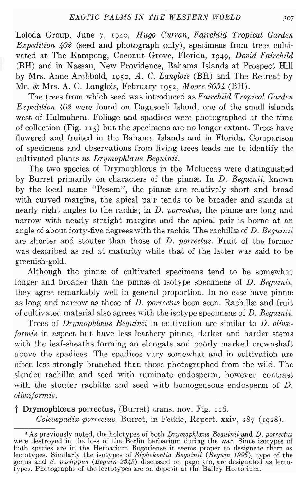Loloda Group, June 7, 1940, *Hugo Curran, Fairchild Tropical Garden Expedition*  $402$  (seed and photograph only), specimens from trees cultivated at The Kampong, Coconut Grove, Florida, 1949, *David Fairchild* (BH) and in Nassau, New Providence, Bahama Islands at Prospect Hill by Mrs. Anne Archbold, 1950, *A. C. Langlois* (BH) and The Retreat by Mr. & Mrs. A. C. Langlois, February 1952, *Moore 6034* (BH).

The trees from which seed was introduced as *Fairchild Tropical Garden Expedition 402* were found on Dagasoeli Island, one of the small islands west of Halmahera. Foliage and spadices were photographed at the time of collection (Fig.  $115$ ) but the specimens are no longer extant. Trees have flowered and fruited in the Bahama Islands and in Florida. Comparison of specimens and observations from living trees leads me to identify the cultivated plants as *Drymophlœus Bequinii*.

The two species of Drymophlceus in the Moluccas were distinguished by Burret primarily on characters of the pinnre. In *D. Beguinii,* known by the local name "Pesem", the pinnæ are relatively short and broad with curved margins, the apical pair tends to be broader and stands at nearly right angles to the rachis; in *D. porrectus*, the pinnæ are long and narrow with nearly straight margins and the apical pair is borne at an angle of about forty-five degrees with the rachis. The rachille of *D. Bequinii* are shorter and stouter than those of *D. porrectus.* Fruit of the former was described as red at maturity while that of the latter was said to be greenish-gold.

Although the pinne of cultivated specimens tend to be somewhat longer and broader than the pinnx of isotype specimens of *D. Bequinii*, they agree remarkably well in general proportion. In no case have pinnæ as long and narrow as those of *D. porrectus* been seen. Rachillæ and fruit of cultivated material also agrees with the isotype specimens of *D. Beguinii.*

Trees of *Drymophlœus Beguinii* in cultivation are similar to *D. olivæformis* in aspect but have less leathery pinnæ, darker and harder stems with the leaf-sheaths forming an elongate and poorly marked crownshaft above the spadices. The spadices vary somewhat and in cultivation are often less strongly branched than those photographed from the wild. The slender rachillæ and seed with ruminate endosperm, however, contrast with the stouter rachille and seed with homogeneous endosperm of  $D$ .  $olivæformis.$ 

t Drymophlceus porrectus, (Burret) trans. nov. Fig. 1I6.

*Coleospadix porrectus,* Burret, in Fedde, Repert. xxiv, 287 (1928).

<sup>&</sup>lt;sup>3</sup> As previously noted, the holotypes of both *Drymophlacus Beguinii* and *D. porrectus* were destroyed in the loss of the Berlin herbarium during the war. Since isotypes of both species are in the Herbarium Bogoriense it seems proper to designate them as lectotypes. Similarly the isotypes of *Siphokentia Beguinii (Beguin* 1995), type of the genus and *S. paehypus (Beguin* 2349) discussed on page 310, are designated as lecto-types. Photographs of the lectotypes are on deposit at the Bailey Hortorium.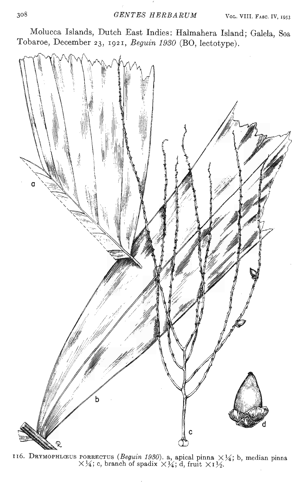Molucca Islands, Dutch East Indies: Halmahera Island; Galela, Soa Tobaroe, December 23, 1921, *Beguin 1930* (BO, lectotype).



16. DRYMOPHLŒUS PORRECTUS (Beguin 1930). a, apical pinna  $\times\frac{1}{4}$ ; b, median pinna  $\times$  34; c, branch of spadix  $\times$  34; d, fruit  $\times$  1 32.